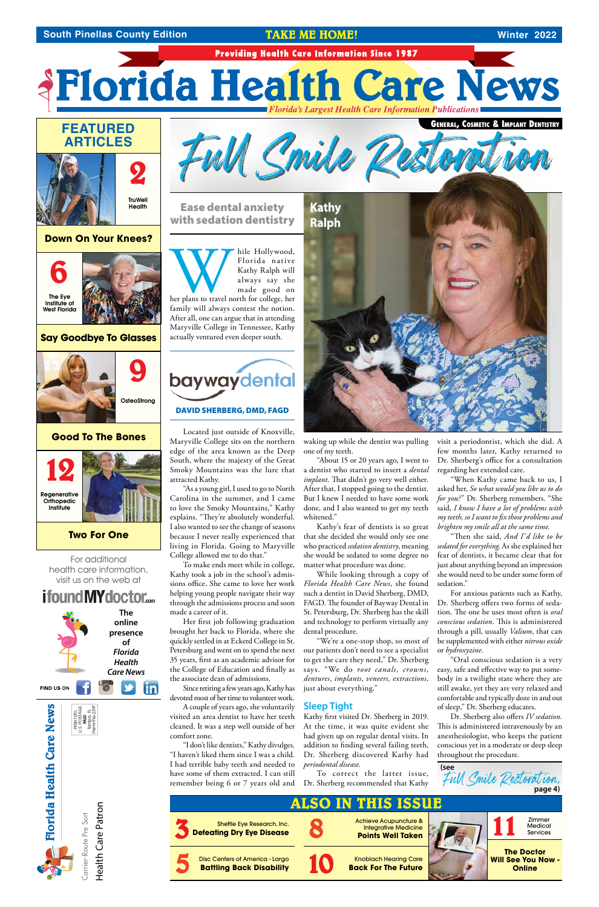Health Care Patron Health Care Patron

PRSRT.STD. U.S. POSTAGE 是 Tampa, FL Permit No.2397

Carrier-Route Pre Sort Carrier-Route Pre Sort

**Florida Health Care News**

**Florida Health Care News** 

*Florida's Largest Health Care Information Publications*

**9 OsteoStrong** 



Institute of West Florida

## **Down On Your Knees?**



#### **Two For One**

#### **Good To The Bones**



hile Hollywood,<br>Florida native<br>Kathy Ralph will<br>always say she<br>made good on<br>family will always contest the notion Florida native Kathy Ralph will always say she made good on her plans to travel north for college, her family will always contest the notion. After all, one can argue that in attending Maryville College in Tennessee, Kathy actually ventured even deeper south.

# baywaydental



#### DAVID SHERBERG, DMD, FAGD

Located just outside of Knoxville, Maryville College sits on the northern edge of the area known as the Deep South, where the majesty of the Great Smoky Mountains was the lure that attracted Kathy.

Her first job following graduation brought her back to Florida, where she quickly settled in at Eckerd College in St. Petersburg and went on to spend the next 35 years, first as an academic advisor for the College of Education and finally as the associate dean of admissions.



"As a young girl, I used to go to North Carolina in the summer, and I came to love the Smoky Mountains," Kathy explains. "They're absolutely wonderful. I also wanted to see the change of seasons because I never really experienced that living in Florida. Going to Maryville College allowed me to do that."

To make ends meet while in college, Kathy took a job in the school's admissions office. She came to love her work helping young people navigate their way through the admissions process and soon made a career of it.

> Kathy first visited Dr. Sherberg in 2019. At the time, it was quite evident she had given up on regular dental visits. In addition to finding several failing teeth, Dr. Sherberg discovered Kathy had *periodontal disease*.

Since retiring a few years ago, Kathy has devoted most of her time to volunteer work.

A couple of years ago, she voluntarily visited an area dentist to have her teeth cleaned. It was a step well outside of her comfort zone.

"I don't like dentists," Kathy divulges. "I haven't liked them since I was a child. I had terrible baby teeth and needed to have some of them extracted. I can still

"Then she said, *And I'd like to be sedated for everything*. As she explained her fear of dentists, it became clear that for just about anything beyond an impression she would need to be under some form of sedation."

Ease dental anxiety with sedation dentistry

Full Smile Restorat ion

waking up while the dentist was pulling one of my teeth.

"About 15 or 20 years ago, I went to a dentist who started to insert a *dental implant*. That didn't go very well either. After that, I stopped going to the dentist. But I knew I needed to have some work done, and I also wanted to get my teeth whitened."

Kathy's fear of dentists is so great that she decided she would only see one who practiced *sedation dentistry*, meaning she would be sedated to some degree no matter what procedure was done.

remember being 6 or 7 years old and Dr. Sherberg recommended that Kathy To correct the latter issue,

While looking through a copy of *Florida Health Care News*, she found such a dentist in David Sherberg, DMD, FAGD. The founder of Bayway Dental in St. Petersburg, Dr. Sherberg has the skill and technology to perform virtually any dental procedure.

"We're a one-stop shop, so most of our patients don't need to see a specialist

to get the care they need," Dr. Sherberg says. "We do *root canals*, *crowns*, *dentures*, *implants*, *veneers, extractions*, just about everything."

### **Sleep Tight**

visit a periodontist, which she did. A few months later, Kathy returned to Dr. Sherberg's office for a consultation regarding her extended care.

"When Kathy came back to us, I asked her, *So what would you like us to do for you?*" Dr. Sherberg remembers. "She said, *I know I have a lot of problems with my teeth, so I want to fix those problems and brighten my smile all at the same time.*

For anxious patients such as Kathy, Dr. Sherberg offers two forms of sedation. The one he uses most often is *oral conscious sedation*. This is administered through a pill, usually *Valium*, that can be supplemented with either *nitrous oxide* or *hydroxyzine*.

"Oral conscious sedation is a very easy, safe and effective way to put somebody in a twilight state where they are still awake, yet they are very relaxed and comfortable and typically doze in and out of sleep," Dr. Sherberg educates. Dr. Sherberg also offers *IV sedation*. This is administered intravenously by an anesthesiologist, who keeps the patient conscious yet in a moderate or deep sleep throughout the procedure.



For additional health care information, visit us on the web at



**The** 



# **FEATURED ARTICLES**



#### **South Pinellas County Edition <b>Winter 2022** TAKE ME HOME!

General, Cosmetic & Implant Dentistry

**Providing Health Care Information Since 1987** 

*AFlorida Health Care News* **Florida's Largest Health Care Information Publications**